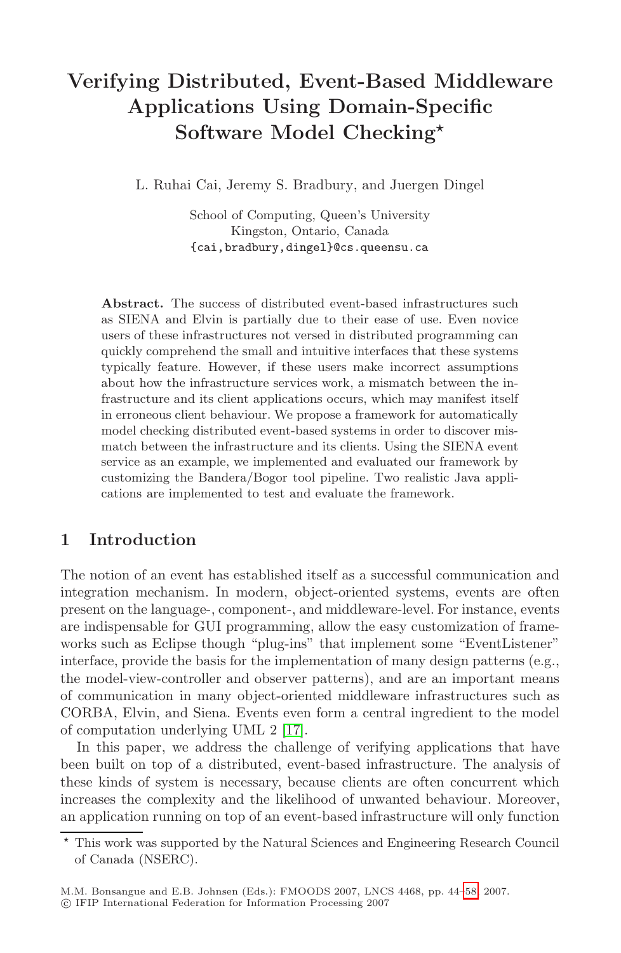# **Verifying Distributed, Event-Based Middleware Applications Using Domain-Specific Software Model Checking***-*

L. Ruhai Cai, Jeremy S. Bradbury, and Juergen Dingel

School of Computing, Queen's University Kingston, Ontario, Canada {cai,bradbury,dingel}@cs.queensu.ca

**Abstract.** The success of distributed event-based infrastructures such as SIENA and Elvin is partially due to their ease of use. Even novice users of these infrastructures not versed in distributed programming can quickly comprehend the small and intuitive interfaces that these systems typically feature. However, if these users make incorrect assumptions about how the infrastructure services work, a mismatch between the infrastructure and its client applications occurs, which may manifest itself in erroneous client behaviour. We propose a framework for automatically model checking distributed event-based systems in order to discover mismatch between the infrastructure and its clients. Using the SIENA event service as an example, we implemented and evaluated our framework by customizing the Bandera/Bogor tool pipeline. Two realistic Java applications are implemented to test and evaluate the framework.

# <span id="page-0-0"></span>**1 Introduction**

The notion of an event has established itself as a successful communication and integration mechanism. In modern, object-oriented systems, events are often present on the language-, component-, and middleware-level. For instance, events are indispensable for GUI programming, allow the easy customization of frameworks such as Eclipse though "plug-ins" that implement some "EventListener" interface, provide the basis for the implementation of many design patterns (e.g., the model-view-controller and observer patterns), and are an important means of communication in many object-oriented middleware infrastructures such as CORBA, Elvin, and Siena. Events even form a central ingredient to the model of computation underlying UML 2 [\[17\]](#page-14-0).

In this paper, we address the challenge of verifying applications that have been built on top of a distributed, event-based infrastructure. The analysis of these kinds of system is necessary, because clients are often concurrent which increases the complexity and the likelihood of unwanted behaviour. Moreover, an application running on top of an event-based infrastructure will only function

*<sup>-</sup>* This work was supported by the Natural Sciences and Engineering Research Council of Canada (NSERC).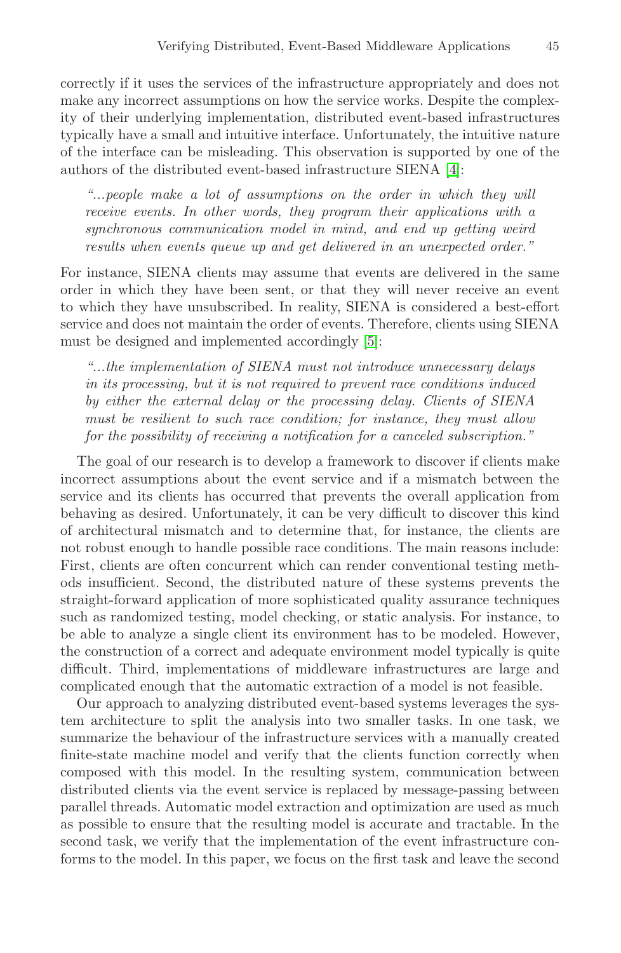correctly if it uses the services of the infrastructure appropriately and does not make any incorrect assumptions on how the service works. Despite the complexity of their underlying implementation, distributed event-based infrastructures typically have a small and intuitive interface. Unfortunately, the intuitive nature of the interface can be misleading. This observation is supported by one of the authors of the distributed event-based infrastructure SIENA [\[4\]](#page-14-2):

"...people make a lot of assumptions on the order in which they will receive events. In other words, they program their applications with a synchronous communication model in mind, and end up getting weird results when events queue up and get delivered in an unexpected order."

For instance, SIENA clients may assume that events are delivered in the same order in which they have been sent, or that they will never receive an event to which they have unsubscribed. In reality, SIENA is considered a best-effort service and does not maintain the order of events. Therefore, clients using SIENA must be designed and implemented accordingly [\[5\]](#page-14-3):

"...the implementation of SIENA must not introduce unnecessary delays in its processing, but it is not required to prevent race conditions induced by either the external delay or the processing delay. Clients of SIENA must be resilient to such race condition; for instance, they must allow for the possibility of receiving a notification for a canceled subscription."

The goal of our research is to develop a framework to discover if clients make incorrect assumptions about the event service and if a mismatch between the service and its clients has occurred that prevents the overall application from behaving as desired. Unfortunately, it can be very difficult to discover this kind of architectural mismatch and to determine that, for instance, the clients are not robust enough to handle possible race conditions. The main reasons include: First, clients are often concurrent which can render conventional testing methods insufficient. Second, the distributed nature of these systems prevents the straight-forward application of more sophisticated quality assurance techniques such as randomized testing, model checking, or static analysis. For instance, to be able to analyze a single client its environment has to be modeled. However, the construction of a correct and adequate environment model typically is quite difficult. Third, implementations of middleware infrastructures are large and complicated enough that the automatic extraction of a model is not feasible.

Our approach to analyzing distributed event-based systems leverages the system architecture to split the analysis into two smaller tasks. In one task, we summarize the behaviour of the infrastructure services with a manually created finite-state machine model and verify that the clients function correctly when composed with this model. In the resulting system, communication between distributed clients via the event service is replaced by message-passing between parallel threads. Automatic model extraction and optimization are used as much as possible to ensure that the resulting model is accurate and tractable. In the second task, we verify that the implementation of the event infrastructure conforms to the model. In this paper, we focus on the first task and leave the second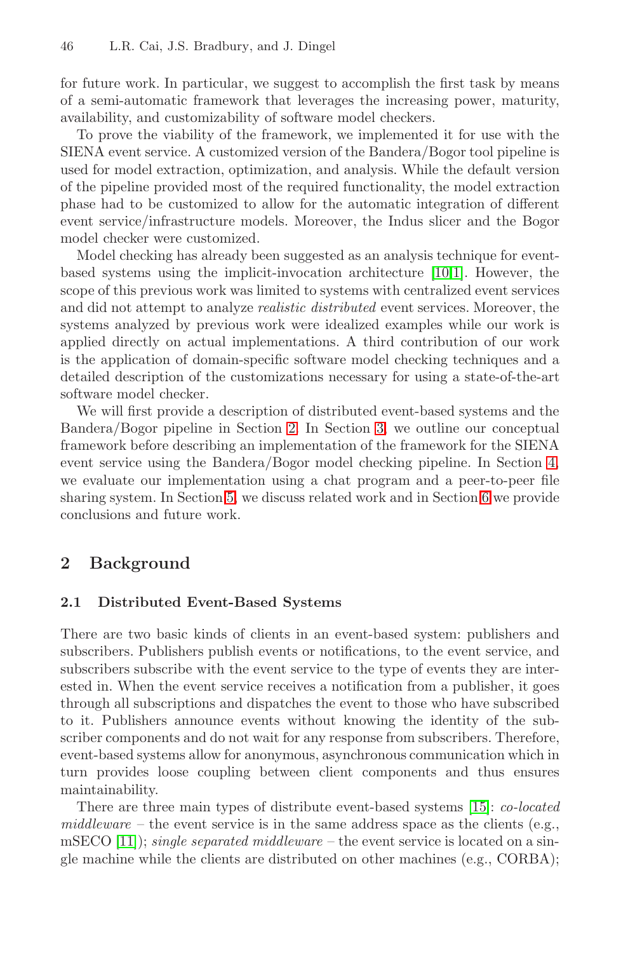for future work. In particular, we suggest to accomplish the first task by means of a semi-automatic framework that leverages the increasing power, maturity, availability, and customizability of software model checkers.

To prove the viability of the framework, we implemented it for use with the SIENA event service. A customized version of the Bandera/Bogor tool pipeline is used for model extraction, optimization, and analysis. While the default version of the pipeline provided most of the required functionality, the model extraction phase had to be customized to allow for the automatic integration of different event service/infrastructure models. Moreover, the Indus slicer and the Bogor model checker were customized.

Model checking has already been suggested as an analysis technique for eventbased systems using the implicit-invocation architecture [\[10](#page-14-4)[,1\]](#page-13-0). However, the scope of this previous work was limited to systems with centralized event services and did not attempt to analyze *realistic distributed* event services. Moreover, the systems analyzed by previous work were idealized examples while our work is applied directly on actual implementations. A third contribution of our work is the application of domain-specific software model checking techniques and a detailed description of the customizations necessary for using a state-of-the-art software model checker.

We will first provide a description of distributed event-based systems and the Bandera/Bogor pipeline in Section [2.](#page-2-0) In Section [3,](#page-4-0) we outline our conceptual framework before describing an implementation of the framework for the SIENA event service using the Bandera/Bogor model checking pipeline. In Section [4,](#page-8-0) we evaluate our implementation using a chat program and a peer-to-peer file sharing system. In Section [5,](#page-12-0) we discuss related work and in Section [6](#page-13-1) we provide conclusions and future work.

## <span id="page-2-0"></span>**2 Background**

#### **2.1 Distributed Event-Based Systems**

There are two basic kinds of clients in an event-based system: publishers and subscribers. Publishers publish events or notifications, to the event service, and subscribers subscribe with the event service to the type of events they are interested in. When the event service receives a notification from a publisher, it goes through all subscriptions and dispatches the event to those who have subscribed to it. Publishers announce events without knowing the identity of the subscriber components and do not wait for any response from subscribers. Therefore, event-based systems allow for anonymous, asynchronous communication which in turn provides loose coupling between client components and thus ensures maintainability.

There are three main types of distribute event-based systems [\[15\]](#page-14-5): co-located middleware – the event service is in the same address space as the clients (e.g., mSECO [\[11\]](#page-14-6)); single separated middleware – the event service is located on a single machine while the clients are distributed on other machines (e.g., CORBA);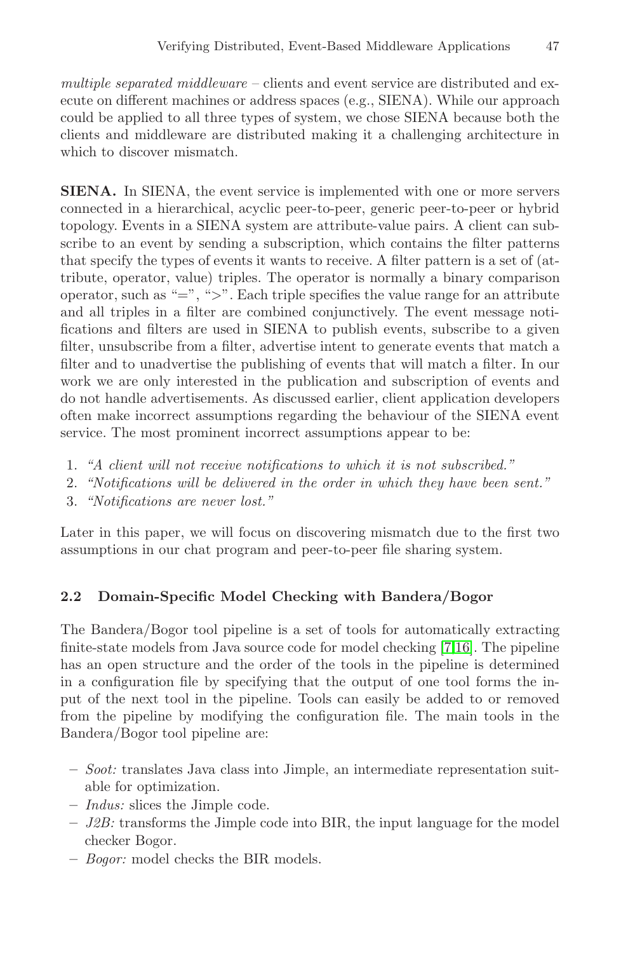multiple separated middleware – clients and event service are distributed and execute on different machines or address spaces (e.g., SIENA). While our approach could be applied to all three types of system, we chose SIENA because both the clients and middleware are distributed making it a challenging architecture in which to discover mismatch.

**SIENA.** In SIENA, the event service is implemented with one or more servers connected in a hierarchical, acyclic peer-to-peer, generic peer-to-peer or hybrid topology. Events in a SIENA system are attribute-value pairs. A client can subscribe to an event by sending a subscription, which contains the filter patterns that specify the types of events it wants to receive. A filter pattern is a set of (attribute, operator, value) triples. The operator is normally a binary comparison operator, such as " $=$ ", " $>$ ". Each triple specifies the value range for an attribute and all triples in a filter are combined conjunctively. The event message notifications and filters are used in SIENA to publish events, subscribe to a given filter, unsubscribe from a filter, advertise intent to generate events that match a filter and to unadvertise the publishing of events that will match a filter. In our work we are only interested in the publication and subscription of events and do not handle advertisements. As discussed earlier, client application developers often make incorrect assumptions regarding the behaviour of the SIENA event service. The most prominent incorrect assumptions appear to be:

- 1. "A client will not receive notifications to which it is not subscribed."
- 2. "Notifications will be delivered in the order in which they have been sent."
- 3. "Notifications are never lost."

Later in this paper, we will focus on discovering mismatch due to the first two assumptions in our chat program and peer-to-peer file sharing system.

# **2.2 Domain-Specific Model Checking with Bandera/Bogor**

The Bandera/Bogor tool pipeline is a set of tools for automatically extracting finite-state models from Java source code for model checking [\[7](#page-14-7)[,16\]](#page-14-8). The pipeline has an open structure and the order of the tools in the pipeline is determined in a configuration file by specifying that the output of one tool forms the input of the next tool in the pipeline. Tools can easily be added to or removed from the pipeline by modifying the configuration file. The main tools in the Bandera/Bogor tool pipeline are:

- **–** Soot: translates Java class into Jimple, an intermediate representation suitable for optimization.
- **–** Indus: slices the Jimple code.
- **–** J2B: transforms the Jimple code into BIR, the input language for the model checker Bogor.
- **–** Bogor: model checks the BIR models.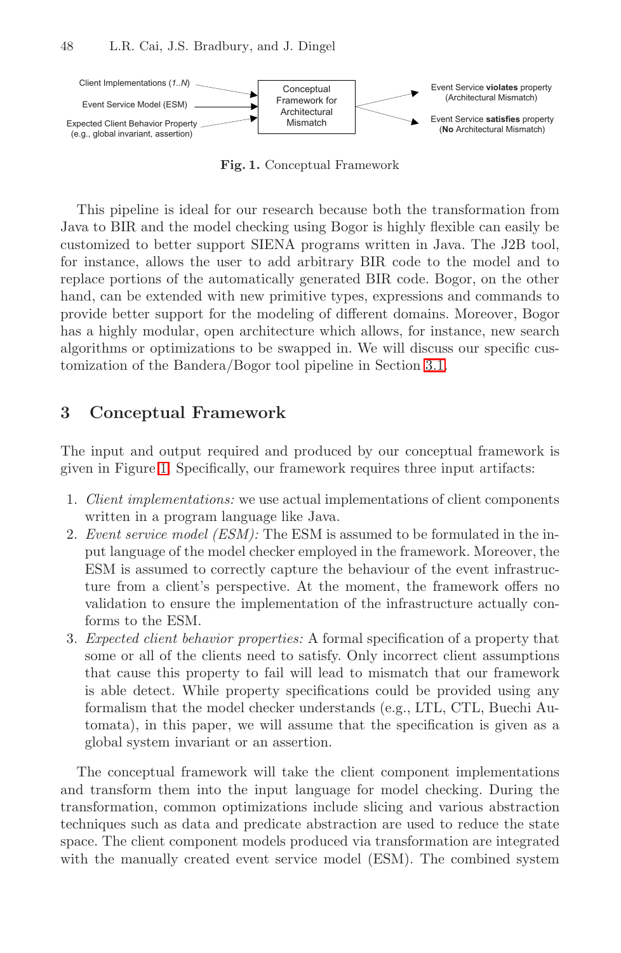

<span id="page-4-1"></span>**Fig. 1.** Conceptual Framework

This pipeline is ideal for our research because both the transformation from Java to BIR and the model checking using Bogor is highly flexible can easily be customized to better support SIENA programs written in Java. The J2B tool, for instance, allows the user to add arbitrary BIR code to the model and to replace portions of the automatically generated BIR code. Bogor, on the other hand, can be extended with new primitive types, expressions and commands to provide better support for the modeling of different domains. Moreover, Bogor has a highly modular, open architecture which allows, for instance, new search algorithms or optimizations to be swapped in. We will discuss our specific customization of the Bandera/Bogor tool pipeline in Section [3.1.](#page-5-0)

## <span id="page-4-0"></span>**3 Conceptual Framework**

The input and output required and produced by our conceptual framework is given in Figure [1.](#page-4-1) Specifically, our framework requires three input artifacts:

- 1. Client implementations: we use actual implementations of client components written in a program language like Java.
- 2. Event service model (ESM): The ESM is assumed to be formulated in the input language of the model checker employed in the framework. Moreover, the ESM is assumed to correctly capture the behaviour of the event infrastructure from a client's perspective. At the moment, the framework offers no validation to ensure the implementation of the infrastructure actually conforms to the ESM.
- 3. Expected client behavior properties: A formal specification of a property that some or all of the clients need to satisfy. Only incorrect client assumptions that cause this property to fail will lead to mismatch that our framework is able detect. While property specifications could be provided using any formalism that the model checker understands (e.g., LTL, CTL, Buechi Automata), in this paper, we will assume that the specification is given as a global system invariant or an assertion.

The conceptual framework will take the client component implementations and transform them into the input language for model checking. During the transformation, common optimizations include slicing and various abstraction techniques such as data and predicate abstraction are used to reduce the state space. The client component models produced via transformation are integrated with the manually created event service model (ESM). The combined system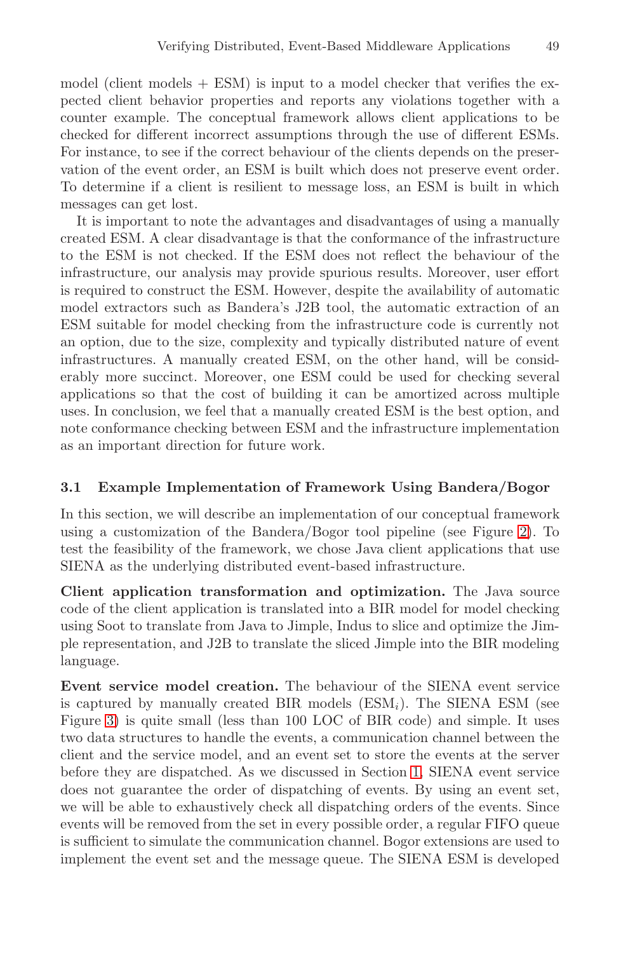model (client models  $+$  ESM) is input to a model checker that verifies the expected client behavior properties and reports any violations together with a counter example. The conceptual framework allows client applications to be checked for different incorrect assumptions through the use of different ESMs. For instance, to see if the correct behaviour of the clients depends on the preservation of the event order, an ESM is built which does not preserve event order. To determine if a client is resilient to message loss, an ESM is built in which messages can get lost.

It is important to note the advantages and disadvantages of using a manually created ESM. A clear disadvantage is that the conformance of the infrastructure to the ESM is not checked. If the ESM does not reflect the behaviour of the infrastructure, our analysis may provide spurious results. Moreover, user effort is required to construct the ESM. However, despite the availability of automatic model extractors such as Bandera's J2B tool, the automatic extraction of an ESM suitable for model checking from the infrastructure code is currently not an option, due to the size, complexity and typically distributed nature of event infrastructures. A manually created ESM, on the other hand, will be considerably more succinct. Moreover, one ESM could be used for checking several applications so that the cost of building it can be amortized across multiple uses. In conclusion, we feel that a manually created ESM is the best option, and note conformance checking between ESM and the infrastructure implementation as an important direction for future work.

#### <span id="page-5-0"></span>**3.1 Example Implementation of Framework Using Bandera/Bogor**

In this section, we will describe an implementation of our conceptual framework using a customization of the Bandera/Bogor tool pipeline (see Figure [2\)](#page-6-0). To test the feasibility of the framework, we chose Java client applications that use SIENA as the underlying distributed event-based infrastructure.

**Client application transformation and optimization.** The Java source code of the client application is translated into a BIR model for model checking using Soot to translate from Java to Jimple, Indus to slice and optimize the Jimple representation, and J2B to translate the sliced Jimple into the BIR modeling language.

**Event service model creation.** The behaviour of the SIENA event service is captured by manually created BIR models  $(ESM_i)$ . The SIENA ESM (see Figure [3\)](#page-6-1) is quite small (less than 100 LOC of BIR code) and simple. It uses two data structures to handle the events, a communication channel between the client and the service model, and an event set to store the events at the server before they are dispatched. As we discussed in Section [1,](#page-0-0) SIENA event service does not guarantee the order of dispatching of events. By using an event set, we will be able to exhaustively check all dispatching orders of the events. Since events will be removed from the set in every possible order, a regular FIFO queue is sufficient to simulate the communication channel. Bogor extensions are used to implement the event set and the message queue. The SIENA ESM is developed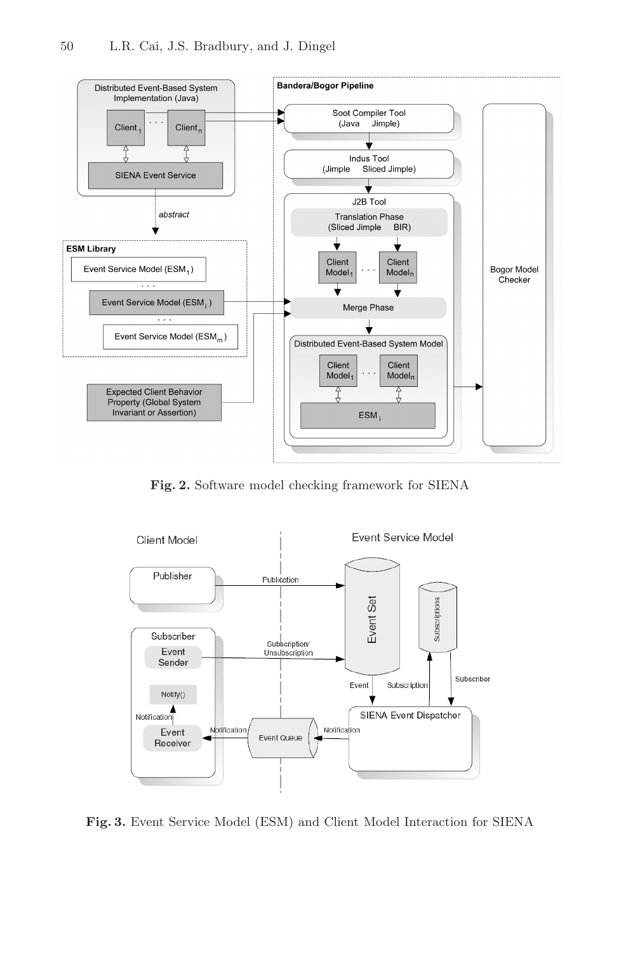

**Fig. 2.** Software model checking framework for SIENA

<span id="page-6-0"></span>

<span id="page-6-1"></span>**Fig. 3.** Event Service Model (ESM) and Client Model Interaction for SIENA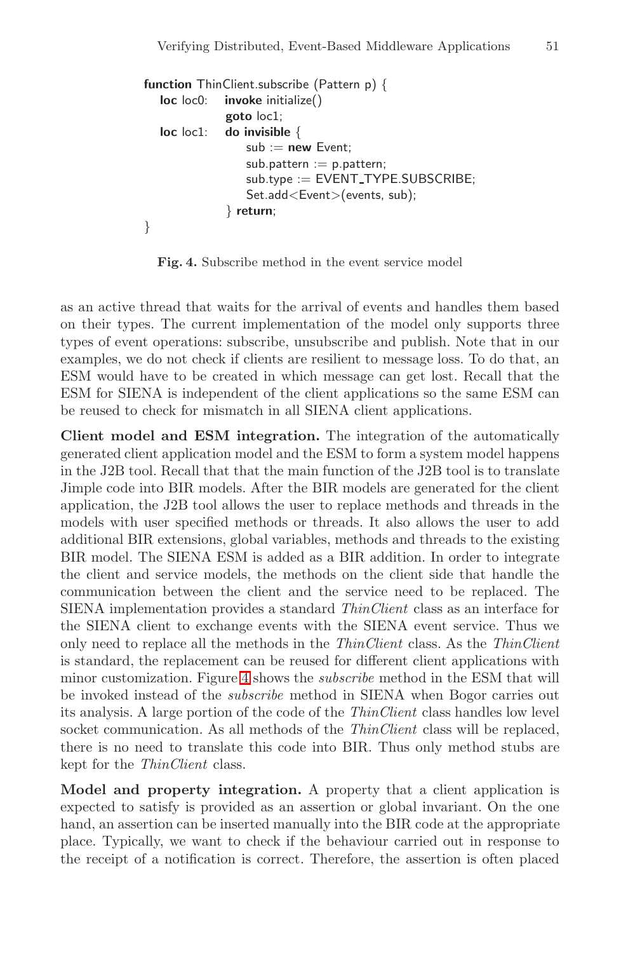```
function ThinClient.subscribe (Pattern p) {
  loc loc0: invoke initialize()
             goto loc1;
  loc loc1: do invisible {
                 sub := new Event;
                 sub.pattern := p.pathsub.type := EVENT_TYPE.SUBSCRIBE;
                 Set.add<Event>(events, sub);
             } return;
}
```
**Fig. 4.** Subscribe method in the event service model

<span id="page-7-0"></span>as an active thread that waits for the arrival of events and handles them based on their types. The current implementation of the model only supports three types of event operations: subscribe, unsubscribe and publish. Note that in our examples, we do not check if clients are resilient to message loss. To do that, an ESM would have to be created in which message can get lost. Recall that the ESM for SIENA is independent of the client applications so the same ESM can be reused to check for mismatch in all SIENA client applications.

**Client model and ESM integration.** The integration of the automatically generated client application model and the ESM to form a system model happens in the J2B tool. Recall that that the main function of the J2B tool is to translate Jimple code into BIR models. After the BIR models are generated for the client application, the J2B tool allows the user to replace methods and threads in the models with user specified methods or threads. It also allows the user to add additional BIR extensions, global variables, methods and threads to the existing BIR model. The SIENA ESM is added as a BIR addition. In order to integrate the client and service models, the methods on the client side that handle the communication between the client and the service need to be replaced. The SIENA implementation provides a standard ThinClient class as an interface for the SIENA client to exchange events with the SIENA event service. Thus we only need to replace all the methods in the *ThinClient* class. As the *ThinClient* is standard, the replacement can be reused for different client applications with minor customization. Figure [4](#page-7-0) shows the *subscribe* method in the ESM that will be invoked instead of the *subscribe* method in SIENA when Bogor carries out its analysis. A large portion of the code of the ThinClient class handles low level socket communication. As all methods of the *ThinClient* class will be replaced, there is no need to translate this code into BIR. Thus only method stubs are kept for the *ThinClient* class.

**Model and property integration.** A property that a client application is expected to satisfy is provided as an assertion or global invariant. On the one hand, an assertion can be inserted manually into the BIR code at the appropriate place. Typically, we want to check if the behaviour carried out in response to the receipt of a notification is correct. Therefore, the assertion is often placed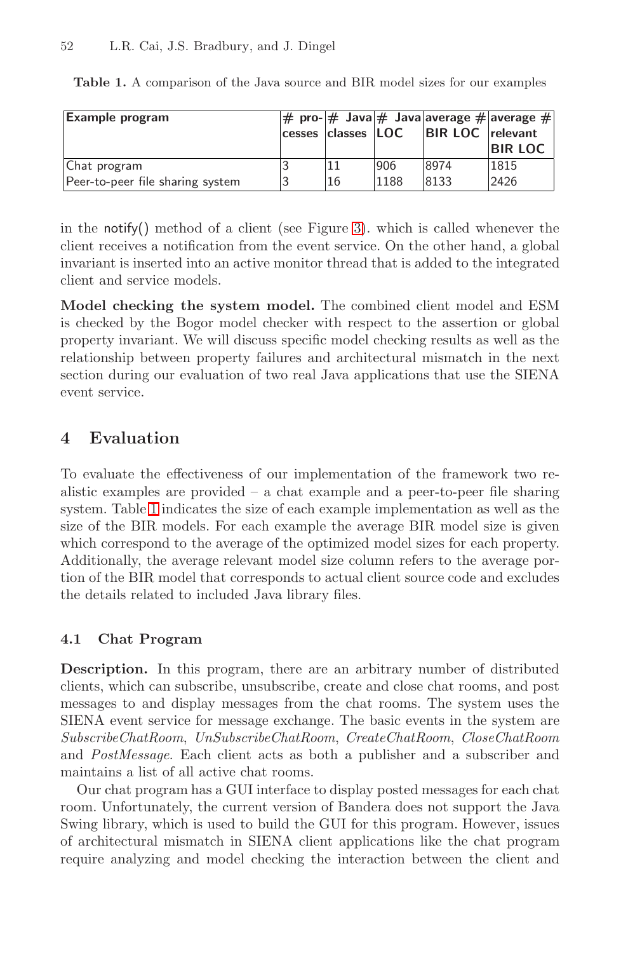<span id="page-8-1"></span>

| Example program                  |        |                 |      |                         | $ \#$ pro- $ \#$ Java $ \#$ Java $ $ average $\# $ average $\# $ |
|----------------------------------|--------|-----------------|------|-------------------------|------------------------------------------------------------------|
|                                  | cesses | $classes$ $LOC$ |      | <b>BIR LOC</b> relevant |                                                                  |
|                                  |        |                 |      |                         | <b>BIR LOC</b>                                                   |
| Chat program                     |        |                 | 906  | 8974                    | 1815                                                             |
| Peer-to-peer file sharing system |        | 16              | 1188 | 8133                    | 2426                                                             |

**Table 1.** A comparison of the Java source and BIR model sizes for our examples

in the notify() method of a client (see Figure [3\)](#page-6-1). which is called whenever the client receives a notification from the event service. On the other hand, a global invariant is inserted into an active monitor thread that is added to the integrated client and service models.

**Model checking the system model.** The combined client model and ESM is checked by the Bogor model checker with respect to the assertion or global property invariant. We will discuss specific model checking results as well as the relationship between property failures and architectural mismatch in the next section during our evaluation of two real Java applications that use the SIENA event service.

# <span id="page-8-0"></span>**4 Evaluation**

To evaluate the effectiveness of our implementation of the framework two realistic examples are provided – a chat example and a peer-to-peer file sharing system. Table [1](#page-8-1) indicates the size of each example implementation as well as the size of the BIR models. For each example the average BIR model size is given which correspond to the average of the optimized model sizes for each property. Additionally, the average relevant model size column refers to the average portion of the BIR model that corresponds to actual client source code and excludes the details related to included Java library files.

#### **4.1 Chat Program**

**Description.** In this program, there are an arbitrary number of distributed clients, which can subscribe, unsubscribe, create and close chat rooms, and post messages to and display messages from the chat rooms. The system uses the SIENA event service for message exchange. The basic events in the system are SubscribeChatRoom, UnSubscribeChatRoom, CreateChatRoom, CloseChatRoom and PostMessage. Each client acts as both a publisher and a subscriber and maintains a list of all active chat rooms.

Our chat program has a GUI interface to display posted messages for each chat room. Unfortunately, the current version of Bandera does not support the Java Swing library, which is used to build the GUI for this program. However, issues of architectural mismatch in SIENA client applications like the chat program require analyzing and model checking the interaction between the client and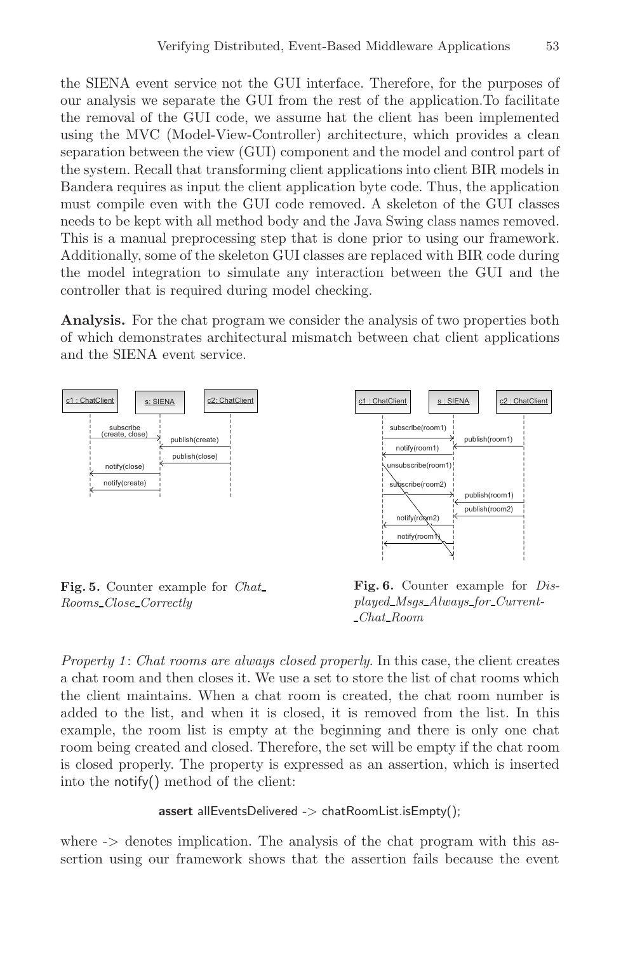the SIENA event service not the GUI interface. Therefore, for the purposes of our analysis we separate the GUI from the rest of the application.To facilitate the removal of the GUI code, we assume hat the client has been implemented using the MVC (Model-View-Controller) architecture, which provides a clean separation between the view (GUI) component and the model and control part of the system. Recall that transforming client applications into client BIR models in Bandera requires as input the client application byte code. Thus, the application must compile even with the GUI code removed. A skeleton of the GUI classes needs to be kept with all method body and the Java Swing class names removed. This is a manual preprocessing step that is done prior to using our framework. Additionally, some of the skeleton GUI classes are replaced with BIR code during the model integration to simulate any interaction between the GUI and the controller that is required during model checking.

**Analysis.** For the chat program we consider the analysis of two properties both of which demonstrates architectural mismatch between chat client applications and the SIENA event service.



<span id="page-9-0"></span>**Fig. 5.** Counter example for Chat Rooms Close Correctly



<span id="page-9-1"></span>**Fig. 6.** Counter example for Displayed Msgs Always for Current-Chat Room

Property 1: Chat rooms are always closed properly. In this case, the client creates a chat room and then closes it. We use a set to store the list of chat rooms which the client maintains. When a chat room is created, the chat room number is added to the list, and when it is closed, it is removed from the list. In this example, the room list is empty at the beginning and there is only one chat room being created and closed. Therefore, the set will be empty if the chat room is closed properly. The property is expressed as an assertion, which is inserted into the notify() method of the client:

#### **assert** allEventsDelivered -> chatRoomList.isEmpty();

where  $\rightarrow$  denotes implication. The analysis of the chat program with this assertion using our framework shows that the assertion fails because the event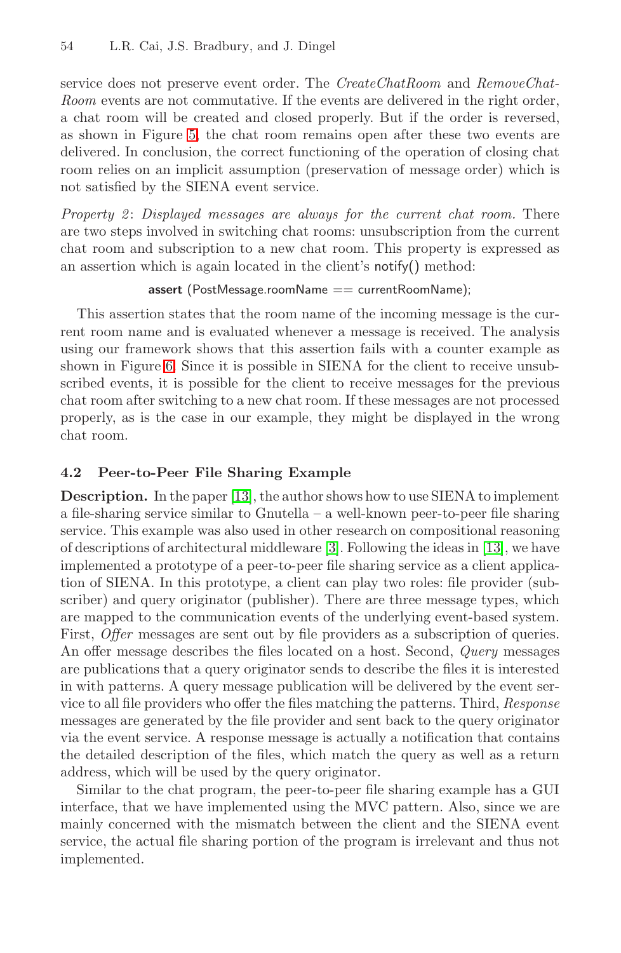service does not preserve event order. The CreateChatRoom and RemoveChat-Room events are not commutative. If the events are delivered in the right order, a chat room will be created and closed properly. But if the order is reversed, as shown in Figure [5,](#page-9-0) the chat room remains open after these two events are delivered. In conclusion, the correct functioning of the operation of closing chat room relies on an implicit assumption (preservation of message order) which is not satisfied by the SIENA event service.

Property 2: Displayed messages are always for the current chat room. There are two steps involved in switching chat rooms: unsubscription from the current chat room and subscription to a new chat room. This property is expressed as an assertion which is again located in the client's notify() method:

## **assert** (PostMessage.roomName == currentRoomName);

This assertion states that the room name of the incoming message is the current room name and is evaluated whenever a message is received. The analysis using our framework shows that this assertion fails with a counter example as shown in Figure [6.](#page-9-1) Since it is possible in SIENA for the client to receive unsubscribed events, it is possible for the client to receive messages for the previous chat room after switching to a new chat room. If these messages are not processed properly, as is the case in our example, they might be displayed in the wrong chat room.

#### **4.2 Peer-to-Peer File Sharing Example**

**Description.** In the paper [\[13\]](#page-14-9), the author shows how to use SIENA to implement a file-sharing service similar to Gnutella – a well-known peer-to-peer file sharing service. This example was also used in other research on compositional reasoning of descriptions of architectural middleware [\[3\]](#page-14-10). Following the ideas in [\[13\]](#page-14-9), we have implemented a prototype of a peer-to-peer file sharing service as a client application of SIENA. In this prototype, a client can play two roles: file provider (subscriber) and query originator (publisher). There are three message types, which are mapped to the communication events of the underlying event-based system. First, *Offer* messages are sent out by file providers as a subscription of queries. An offer message describes the files located on a host. Second, Query messages are publications that a query originator sends to describe the files it is interested in with patterns. A query message publication will be delivered by the event service to all file providers who offer the files matching the patterns. Third, Response messages are generated by the file provider and sent back to the query originator via the event service. A response message is actually a notification that contains the detailed description of the files, which match the query as well as a return address, which will be used by the query originator.

Similar to the chat program, the peer-to-peer file sharing example has a GUI interface, that we have implemented using the MVC pattern. Also, since we are mainly concerned with the mismatch between the client and the SIENA event service, the actual file sharing portion of the program is irrelevant and thus not implemented.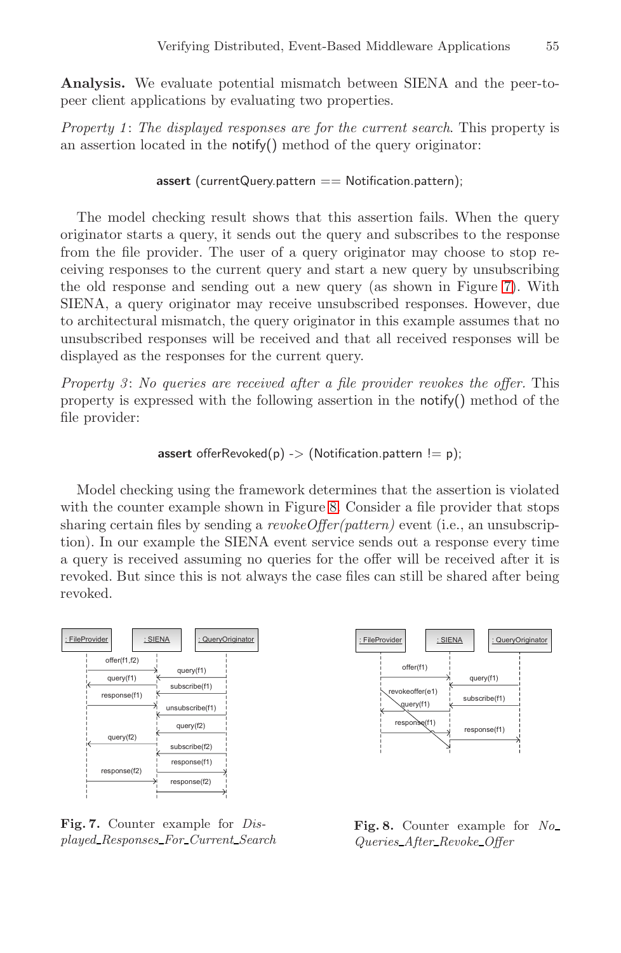**Analysis.** We evaluate potential mismatch between SIENA and the peer-topeer client applications by evaluating two properties.

Property 1: The displayed responses are for the current search. This property is an assertion located in the notify() method of the query originator:

#### **assert** (currentQuery.pattern == Notification.pattern);

The model checking result shows that this assertion fails. When the query originator starts a query, it sends out the query and subscribes to the response from the file provider. The user of a query originator may choose to stop receiving responses to the current query and start a new query by unsubscribing the old response and sending out a new query (as shown in Figure [7\)](#page-11-0). With SIENA, a query originator may receive unsubscribed responses. However, due to architectural mismatch, the query originator in this example assumes that no unsubscribed responses will be received and that all received responses will be displayed as the responses for the current query.

Property  $3$ : No queries are received after a file provider revokes the offer. This property is expressed with the following assertion in the notify() method of the file provider:

$$
assert \; of ferRevoked(p) \; -\; > \; (Notification.path \; let \; n \; != \; p);
$$

Model checking using the framework determines that the assertion is violated with the counter example shown in Figure [8.](#page-11-1) Consider a file provider that stops sharing certain files by sending a revoke Offer(pattern) event (i.e., an unsubscription). In our example the SIENA event service sends out a response every time a query is received assuming no queries for the offer will be received after it is revoked. But since this is not always the case files can still be shared after being revoked.



<span id="page-11-0"></span>**Fig. 7.** Counter example for Displayed Responses For Current Search



<span id="page-11-1"></span>**Fig. 8.** Counter example for No Queries After Revoke Offer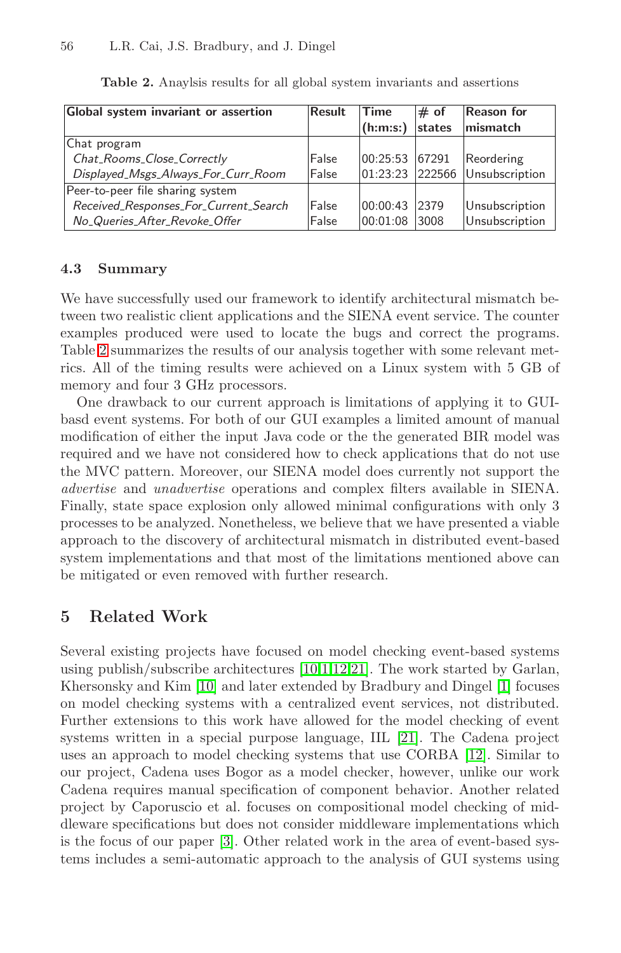<span id="page-12-1"></span>

| Global system invariant or assertion  | Result | Time<br>$#$ of |        | Reason for                         |
|---------------------------------------|--------|----------------|--------|------------------------------------|
|                                       |        | (h:m:s.)       | states | mismatch                           |
| Chat program                          |        |                |        |                                    |
| Chat_Rooms_Close_Correctly            | False  | 00:25:53 67291 |        | Reordering                         |
| Displayed_Msgs_Always_For_Curr_Room   | False  |                |        | $ 01:23:23 222566 $ Unsubscription |
| Peer-to-peer file sharing system      |        |                |        |                                    |
| Received_Responses_For_Current_Search | False  | 00:00:43       | 2379   | Unsubscription                     |
| No_Queries_After_Revoke_Offer         | False  | 00:01:08       | 3008   | Unsubscription                     |

**Table 2.** Anaylsis results for all global system invariants and assertions

#### **4.3 Summary**

We have successfully used our framework to identify architectural mismatch between two realistic client applications and the SIENA event service. The counter examples produced were used to locate the bugs and correct the programs. Table [2](#page-12-1) summarizes the results of our analysis together with some relevant metrics. All of the timing results were achieved on a Linux system with 5 GB of memory and four 3 GHz processors.

One drawback to our current approach is limitations of applying it to GUIbasd event systems. For both of our GUI examples a limited amount of manual modification of either the input Java code or the the generated BIR model was required and we have not considered how to check applications that do not use the MVC pattern. Moreover, our SIENA model does currently not support the advertise and unadvertise operations and complex filters available in SIENA. Finally, state space explosion only allowed minimal configurations with only 3 processes to be analyzed. Nonetheless, we believe that we have presented a viable approach to the discovery of architectural mismatch in distributed event-based system implementations and that most of the limitations mentioned above can be mitigated or even removed with further research.

## <span id="page-12-0"></span>**5 Related Work**

Several existing projects have focused on model checking event-based systems using publish/subscribe architectures [\[10,](#page-14-4)[1](#page-13-0)[,12](#page-14-11)[,21\]](#page-14-12). The work started by Garlan, Khersonsky and Kim [\[10\]](#page-14-4) and later extended by Bradbury and Dingel [\[1\]](#page-13-0) focuses on model checking systems with a centralized event services, not distributed. Further extensions to this work have allowed for the model checking of event systems written in a special purpose language, IIL [\[21\]](#page-14-12). The Cadena project uses an approach to model checking systems that use CORBA [\[12\]](#page-14-11). Similar to our project, Cadena uses Bogor as a model checker, however, unlike our work Cadena requires manual specification of component behavior. Another related project by Caporuscio et al. focuses on compositional model checking of middleware specifications but does not consider middleware implementations which is the focus of our paper [\[3\]](#page-14-10). Other related work in the area of event-based systems includes a semi-automatic approach to the analysis of GUI systems using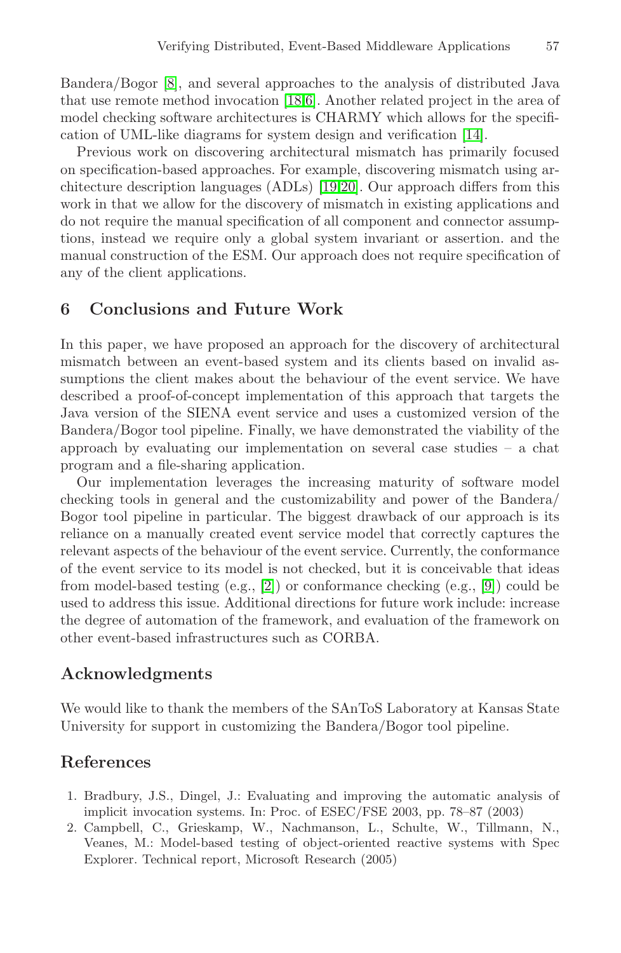Bandera/Bogor [\[8\]](#page-14-13), and several approaches to the analysis of distributed Java that use remote method invocation [\[18,](#page-14-14)[6\]](#page-14-15). Another related project in the area of model checking software architectures is CHARMY which allows for the specification of UML-like diagrams for system design and verification [\[14\]](#page-14-16).

Previous work on discovering architectural mismatch has primarily focused on specification-based approaches. For example, discovering mismatch using architecture description languages (ADLs) [\[19](#page-14-17)[,20\]](#page-14-18). Our approach differs from this work in that we allow for the discovery of mismatch in existing applications and do not require the manual specification of all component and connector assumptions, instead we require only a global system invariant or assertion. and the manual construction of the ESM. Our approach does not require specification of any of the client applications.

## <span id="page-13-1"></span>**6 Conclusions and Future Work**

In this paper, we have proposed an approach for the discovery of architectural mismatch between an event-based system and its clients based on invalid assumptions the client makes about the behaviour of the event service. We have described a proof-of-concept implementation of this approach that targets the Java version of the SIENA event service and uses a customized version of the Bandera/Bogor tool pipeline. Finally, we have demonstrated the viability of the approach by evaluating our implementation on several case studies – a chat program and a file-sharing application.

Our implementation leverages the increasing maturity of software model checking tools in general and the customizability and power of the Bandera/ Bogor tool pipeline in particular. The biggest drawback of our approach is its reliance on a manually created event service model that correctly captures the relevant aspects of the behaviour of the event service. Currently, the conformance of the event service to its model is not checked, but it is conceivable that ideas from model-based testing (e.g., [\[2\]](#page-13-2)) or conformance checking (e.g., [\[9\]](#page-14-19)) could be used to address this issue. Additional directions for future work include: increase the degree of automation of the framework, and evaluation of the framework on other event-based infrastructures such as CORBA.

#### **Acknowledgments**

We would like to thank the members of the SAnToS Laboratory at Kansas State University for support in customizing the Bandera/Bogor tool pipeline.

## <span id="page-13-0"></span>**References**

- 1. Bradbury, J.S., Dingel, J.: Evaluating and improving the automatic analysis of implicit invocation systems. In: Proc. of ESEC/FSE 2003, pp. 78–87 (2003)
- <span id="page-13-2"></span>2. Campbell, C., Grieskamp, W., Nachmanson, L., Schulte, W., Tillmann, N., Veanes, M.: Model-based testing of object-oriented reactive systems with Spec Explorer. Technical report, Microsoft Research (2005)